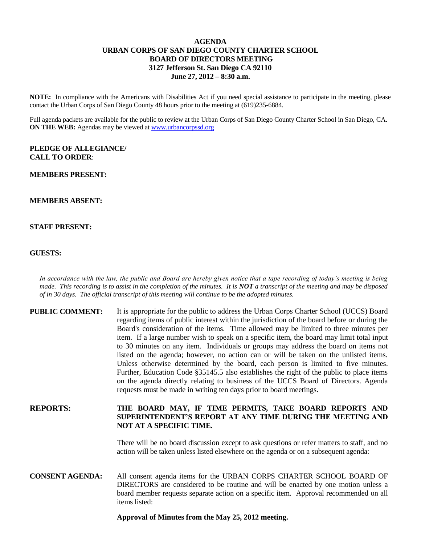# **AGENDA URBAN CORPS OF SAN DIEGO COUNTY CHARTER SCHOOL BOARD OF DIRECTORS MEETING 3127 Jefferson St. San Diego CA 92110 June 27, 2012 – 8:30 a.m.**

**NOTE:** In compliance with the Americans with Disabilities Act if you need special assistance to participate in the meeting, please contact the Urban Corps of San Diego County 48 hours prior to the meeting at (619)235-6884.

Full agenda packets are available for the public to review at the Urban Corps of San Diego County Charter School in San Diego, CA. **ON THE WEB:** Agendas may be viewed at [www.urbancorpssd.org](http://www.urbancorpssd.org/)

## **PLEDGE OF ALLEGIANCE/ CALL TO ORDER**:

## **MEMBERS PRESENT:**

# **MEMBERS ABSENT:**

## **STAFF PRESENT:**

#### **GUESTS:**

*In accordance with the law, the public and Board are hereby given notice that a tape recording of today's meeting is being made. This recording is to assist in the completion of the minutes. It is NOT a transcript of the meeting and may be disposed of in 30 days. The official transcript of this meeting will continue to be the adopted minutes.*

| <b>PUBLIC COMMENT:</b> | It is appropriate for the public to address the Urban Corps Charter School (UCCS) Board<br>regarding items of public interest within the jurisdiction of the board before or during the<br>Board's consideration of the items. Time allowed may be limited to three minutes per<br>item. If a large number wish to speak on a specific item, the board may limit total input<br>to 30 minutes on any item. Individuals or groups may address the board on items not<br>listed on the agenda; however, no action can or will be taken on the unlisted items.<br>Unless otherwise determined by the board, each person is limited to five minutes.<br>Further, Education Code §35145.5 also establishes the right of the public to place items<br>on the agenda directly relating to business of the UCCS Board of Directors. Agenda<br>requests must be made in writing ten days prior to board meetings. |
|------------------------|----------------------------------------------------------------------------------------------------------------------------------------------------------------------------------------------------------------------------------------------------------------------------------------------------------------------------------------------------------------------------------------------------------------------------------------------------------------------------------------------------------------------------------------------------------------------------------------------------------------------------------------------------------------------------------------------------------------------------------------------------------------------------------------------------------------------------------------------------------------------------------------------------------|
| <b>REPORTS:</b>        | THE BOARD MAY. IF TIME PERMITS. TAKE BOARD REPORTS AND                                                                                                                                                                                                                                                                                                                                                                                                                                                                                                                                                                                                                                                                                                                                                                                                                                                   |

# **REPORTS: THE BOARD MAY, IF TIME PERMITS, TAKE BOARD REPORTS AND SUPERINTENDENT'S REPORT AT ANY TIME DURING THE MEETING AND NOT AT A SPECIFIC TIME.**

There will be no board discussion except to ask questions or refer matters to staff, and no action will be taken unless listed elsewhere on the agenda or on a subsequent agenda:

**CONSENT AGENDA:** All consent agenda items for the URBAN CORPS CHARTER SCHOOL BOARD OF DIRECTORS are considered to be routine and will be enacted by one motion unless a board member requests separate action on a specific item. Approval recommended on all items listed:

#### **Approval of Minutes from the May 25, 2012 meeting.**